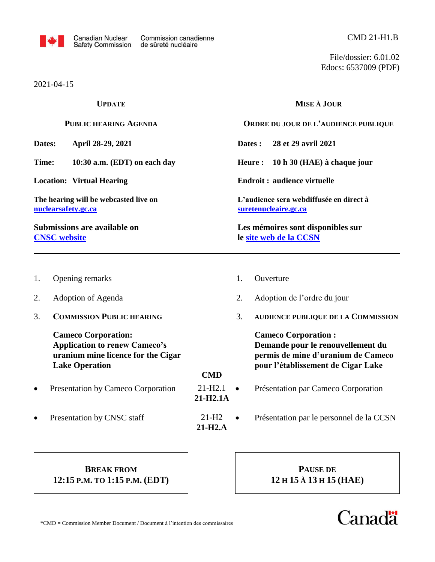

File/dossier: 6.01.02 Edocs: 6537009 (PDF)

|                                                                      | 2021-04-15                                                                                                                        |                         |                                                             |                                                                                                                                             |  |  |  |
|----------------------------------------------------------------------|-----------------------------------------------------------------------------------------------------------------------------------|-------------------------|-------------------------------------------------------------|---------------------------------------------------------------------------------------------------------------------------------------------|--|--|--|
| <b>UPDATE</b>                                                        |                                                                                                                                   |                         |                                                             | <b>MISE À JOUR</b>                                                                                                                          |  |  |  |
|                                                                      | PUBLIC HEARING AGENDA                                                                                                             |                         |                                                             | ORDRE DU JOUR DE L'AUDIENCE PUBLIQUE                                                                                                        |  |  |  |
| Dates:<br>April 28-29, 2021<br>Time:<br>10:30 a.m. (EDT) on each day |                                                                                                                                   |                         |                                                             | 28 et 29 avril 2021<br>Dates :                                                                                                              |  |  |  |
|                                                                      |                                                                                                                                   |                         | Heure:                                                      | 10 h 30 (HAE) à chaque jour                                                                                                                 |  |  |  |
| <b>Location: Virtual Hearing</b>                                     |                                                                                                                                   |                         |                                                             | <b>Endroit: audience virtuelle</b>                                                                                                          |  |  |  |
|                                                                      | The hearing will be webcasted live on<br>nuclearsafety.gc.ca                                                                      |                         |                                                             | L'audience sera webdiffusée en direct à<br>suretenucleaire.gc.ca                                                                            |  |  |  |
|                                                                      | Submissions are available on<br><b>CNSC</b> website                                                                               |                         | Les mémoires sont disponibles sur<br>le site web de la CCSN |                                                                                                                                             |  |  |  |
| 1.                                                                   | Opening remarks                                                                                                                   |                         | 1.                                                          | Ouverture                                                                                                                                   |  |  |  |
| 2.                                                                   | Adoption of Agenda                                                                                                                |                         | 2.                                                          | Adoption de l'ordre du jour                                                                                                                 |  |  |  |
| 3.                                                                   | <b>COMMISSION PUBLIC HEARING</b>                                                                                                  |                         | 3.                                                          | <b>AUDIENCE PUBLIQUE DE LA COMMISSION</b>                                                                                                   |  |  |  |
|                                                                      | <b>Cameco Corporation:</b><br><b>Application to renew Cameco's</b><br>uranium mine licence for the Cigar<br><b>Lake Operation</b> | <b>CMD</b>              |                                                             | <b>Cameco Corporation:</b><br>Demande pour le renouvellement du<br>permis de mine d'uranium de Cameco<br>pour l'établissement de Cigar Lake |  |  |  |
| $\bullet$                                                            | Presentation by Cameco Corporation                                                                                                | $21 - H2.1$<br>21-H2.1A | $\bullet$                                                   | Présentation par Cameco Corporation                                                                                                         |  |  |  |
|                                                                      | Presentation by CNSC staff                                                                                                        | $21-H2$<br>$21-H2.A$    |                                                             | Présentation par le personnel de la CCSN                                                                                                    |  |  |  |

# **BREAK FROM 12:15 P.M. TO 1:15 P.M. (EDT)**

**PAUSE DE 12 H 15 À 13 H 15 (HAE)**

# **Canadä**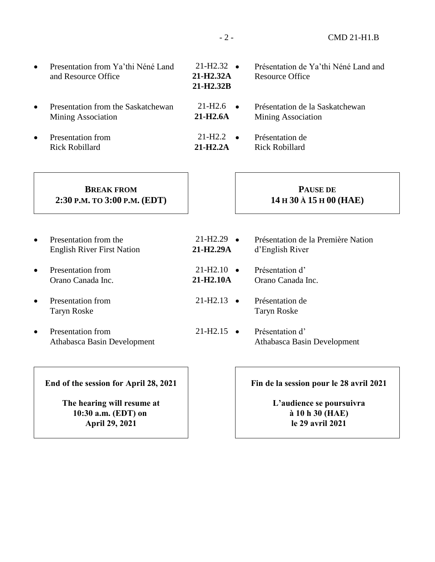- Presentation from Ya'thi Néné Land and Resource Office
- Presentation from the Saskatchewan Mining Association
- Presentation from Rick Robillard
- $21-H2.32$   $\bullet$ **21-H2.32A 21-H2.32B** Présentation de Ya'thi Néné Land and Resource Office Présentation de la Saskatchewan  $21 - H2.6$   $\bullet$
- Mining Association **21-H2.6A**
- Présentation de Rick Robillard  $21-H2.2$   $\bullet$ **21-H2.2A**

### **BREAK FROM 2:30 P.M. TO 3:00 P.M. (EDT)**

#### • Presentation from the English River First Nation

- Presentation from Orano Canada Inc.
- Presentation from Taryn Roske
- Presentation from Athabasca Basin Development

#### Présentation de la Première Nation d'English River Présentation d' Orano Canada Inc.  $21 - H2.29$   $\bullet$ **21-H2.29A**  $21 - H2.10$   $\bullet$ **21-H2.10A**

- Présentation de Taryn Roske  $21-H2.13$   $\bullet$
- Présentation d' Athabasca Basin Development  $21-H2.15$   $\bullet$

**End of the session for April 28, 2021**

**The hearing will resume at 10:30 a.m. (EDT) on April 29, 2021**

**Fin de la session pour le 28 avril 2021**

**PAUSE DE 14 H 30 À 15 H 00 (HAE)**

**L'audience se poursuivra à 10 h 30 (HAE) le 29 avril 2021**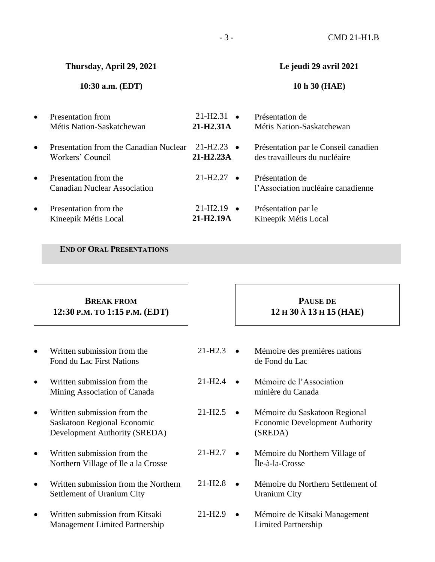- 3 - CMD 21-H1.B

**Thursday, April 29, 2021**

#### **10:30 a.m. (EDT)**

#### **Le jeudi 29 avril 2021**

#### **10 h 30 (HAE)**

| $\bullet$ | <b>Presentation from</b>                                   | 21-H <sub>2.31</sub>                           | Présentation de                                                       |
|-----------|------------------------------------------------------------|------------------------------------------------|-----------------------------------------------------------------------|
|           | Métis Nation-Saskatchewan                                  | 21-H <sub>2</sub> .31A                         | Métis Nation-Saskatchewan                                             |
| $\bullet$ | Presentation from the Canadian Nuclear<br>Workers' Council | 21-H <sub>2.23</sub><br>$\bullet$<br>21-H2.23A | Présentation par le Conseil canadien<br>des travailleurs du nucléaire |
| $\bullet$ | Presentation from the                                      | 21-H <sub>2</sub> .27                          | Présentation de                                                       |
|           | <b>Canadian Nuclear Association</b>                        | $\bullet$                                      | l'Association nucléaire canadienne                                    |
| $\bullet$ | Presentation from the<br>Kineepik Métis Local              | $21 - H2.19$<br>$\bullet$<br>21-H2.19A         | Présentation par le<br>Kineepik Métis Local                           |

#### **END OF ORAL PRESENTATIONS**

### **BREAK FROM 12:30 P.M. TO 1:15 P.M. (EDT)**

- Written submission from the Fond du Lac First Nations
- Written submission from the Mining Association of Canada
- Written submission from the Saskatoon Regional Economic Development Authority (SREDA)
- Written submission from the Northern Village of Ile a la Crosse
- Written submission from the Northern Settlement of Uranium City
- Written submission from Kitsaki Management Limited Partnership

## **PAUSE DE 12 H 30 À 13 H 15 (HAE)**

- Mémoire des premières nations de Fond du Lac  $21-H2.3$   $\bullet$
- Mémoire de l'Association minière du Canada  $21-H2.4$   $\bullet$
- Mémoire du Saskatoon Regional Economic Development Authority (SREDA)  $21-H2.5$   $\bullet$
- Mémoire du Northern Village of Île-à-la-Crosse  $21-H2.7$   $\bullet$
- Mémoire du Northern Settlement of Uranium City 21-H2.8
- Mémoire de Kitsaki Management Limited Partnership  $21-H2.9$   $\bullet$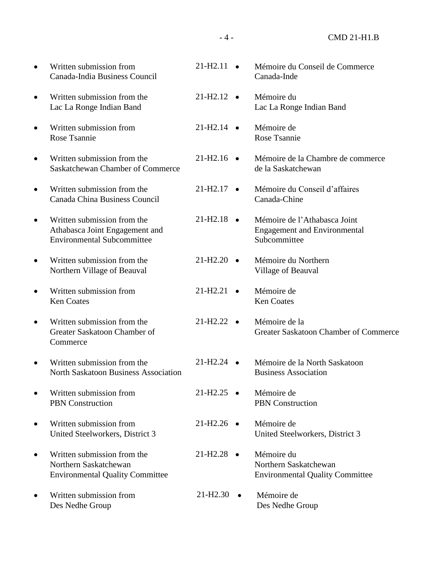- 4 - CMD 21-H1.B

| Written submission from<br>Canada-India Business Council                                           | 21-H2.11                          | Mémoire du Conseil de Commerce<br>Canada-Inde                                       |
|----------------------------------------------------------------------------------------------------|-----------------------------------|-------------------------------------------------------------------------------------|
| Written submission from the<br>Lac La Ronge Indian Band                                            | $21-H2.12$ $\bullet$              | Mémoire du<br>Lac La Ronge Indian Band                                              |
| Written submission from<br>Rose Tsannie                                                            | $21-H2.14$ $\bullet$              | Mémoire de<br>Rose Tsannie                                                          |
| Written submission from the<br><b>Saskatchewan Chamber of Commerce</b>                             | $21-H2.16$ •                      | Mémoire de la Chambre de commerce<br>de la Saskatchewan                             |
| Written submission from the<br>Canada China Business Council                                       | $21-H2.17$ $\bullet$              | Mémoire du Conseil d'affaires<br>Canada-Chine                                       |
| Written submission from the<br>Athabasca Joint Engagement and<br><b>Environmental Subcommittee</b> | $21-H2.18$ $\bullet$              | Mémoire de l'Athabasca Joint<br><b>Engagement and Environmental</b><br>Subcommittee |
| Written submission from the<br>Northern Village of Beauval                                         | $21-H2.20$ $\bullet$              | Mémoire du Northern<br>Village of Beauval                                           |
| Written submission from<br><b>Ken Coates</b>                                                       | 21-H <sub>2.21</sub><br>$\bullet$ | Mémoire de<br><b>Ken Coates</b>                                                     |
| Written submission from the<br>Greater Saskatoon Chamber of<br>Commerce                            | $21-H2.22$ $\bullet$              | Mémoire de la<br>Greater Saskatoon Chamber of Commerce                              |
| Written submission from the<br><b>North Saskatoon Business Association</b>                         | $21-H2.24$ $\bullet$              | Mémoire de la North Saskatoon<br><b>Business Association</b>                        |
| Written submission from<br><b>PBN</b> Construction                                                 | $21-H2.25$ $\bullet$              | Mémoire de<br><b>PBN</b> Construction                                               |
| Written submission from<br>United Steelworkers, District 3                                         | $21-H2.26$ •                      | Mémoire de<br>United Steelworkers, District 3                                       |
| Written submission from the<br>Northern Saskatchewan<br><b>Environmental Quality Committee</b>     | $21-H2.28$ $\bullet$              | Mémoire du<br>Northern Saskatchewan<br><b>Environmental Quality Committee</b>       |
| Written submission from<br>Des Nedhe Group                                                         | $21-H2.30$ $\bullet$              | Mémoire de<br>Des Nedhe Group                                                       |